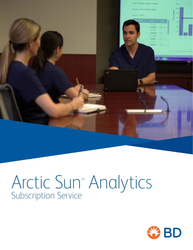

# Arctic Sun™ Analytics Subscription Service

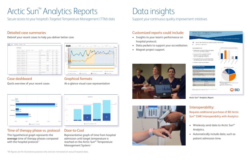## Arctic Sun™ Analytics Reports

Secure access to your hospital's Targeted Temperature Management (TTM) data

- hospital protocol.
- 
- 





This hypothetical graph represents the **average** time of therapy phases compared with the hospital protocol.\*



### Detailed case summaries

Debrief your recent cases to help you deliver better care.

| All Pallares                                                                                                                                             |                              |                   |                                                                                                |                                              |
|----------------------------------------------------------------------------------------------------------------------------------------------------------|------------------------------|-------------------|------------------------------------------------------------------------------------------------|----------------------------------------------|
| Terminance Teacherston's composition in collection                                                                                                       |                              |                   |                                                                                                |                                              |
| boron that command street                                                                                                                                | <b>Bradford</b>              | <b>Business</b>   | $-$                                                                                            | <b>Stake Collaboration</b>                   |
| dealers to be restricted as a true                                                                                                                       | <b>Book All</b>              | 1 ppmb            | $\frac{1}{2} \left( \frac{1}{2} \right) \left( \frac{1}{2} \right) \left( \frac{1}{2} \right)$ | <b>SHARE</b>                                 |
| PRODUCED AND PRESENTED AT A 2005 FOR<br>derivate as at 100-degree with 100-degree<br>ふくしゅん しょうきゅうしょう こうしょうぶつ                                             | We received top outs present | <b>Rocked</b>     |                                                                                                | <b>CONTRACTOR</b><br>$-100$                  |
| Address account tool                                                                                                                                     | 33.18.32                     | <b>CONTRACTOR</b> | $-$                                                                                            | <b>START</b>                                 |
| <b>CONTRACTOR IN A CONTRACTOR</b><br>August Nyler, Manager J. L. Labor,<br>producted and contract of children                                            | Box 22<br>$-7 - 7 - 1$       |                   | <b>Contract</b>                                                                                | <b>ACRA</b><br>the company of the company of |
| P-ROTALITY SERIES-1-SR RUN-                                                                                                                              | <b>BAT</b>                   | <b>Excited</b>    | me                                                                                             |                                              |
| and the collection of the first part of the first field of<br>enterprise restricted later                                                                | ing or                       |                   |                                                                                                | mortes.                                      |
| to the highlight at all was a minute of<br>49-939-419 000030-9-51 00-51                                                                                  | tel a titl                   |                   |                                                                                                | modes.                                       |
| stop is staff during a home city and approximate<br>announce severage war                                                                                | <b>British</b>               | <b>Location</b>   |                                                                                                |                                              |
| SHAPA GROUP THE                                                                                                                                          | All to do                    | <b>Faired</b>     | $-$                                                                                            | models.                                      |
| monorando estamento terre<br>presentation exclusion and on the                                                                                           | sein 20                      | Fast of           | $\frac{1}{2}$                                                                                  | and the anticipate<br>10 000 AM              |
| beautiful of the second control<br><b>SURGEOUS ARTIQUES &amp; R.C.</b>                                                                                   | <b>STATE OF</b>              |                   | 1000                                                                                           | <b>START</b>                                 |
| the construction of the construction of the construction of the construction<br>SHRAD EDIT . DERECK G.M. . 36-F.<br>a belief and the China and China and | Build Dating Art Bridge      |                   |                                                                                                | <b>Higher Corp.</b>                          |
| demandances, exception with collab-                                                                                                                      | <b>SELECTED</b>              |                   | $-$                                                                                            | <b>COMPANY</b>                               |

## Time of therapy phase vs. protocol

## Door-to-Cool

Representative graph of time from hospital admission until target temperature is reached on the Arctic Sun™ Temperature Management System.\*



## Case dashboard

Quick overview of your recent cases



## Graphical formats

At-a-glance visual case representation



## Data insights

Support your continuous quality improvement initiatives

## Interoperability:

Requires additional purchase of BD Arctic Sun™ EMR Interoperability with Analytics

- Wirelessly send data to Arctic Sun™ Analytics.
- Automatically include data; such as patient admission time.